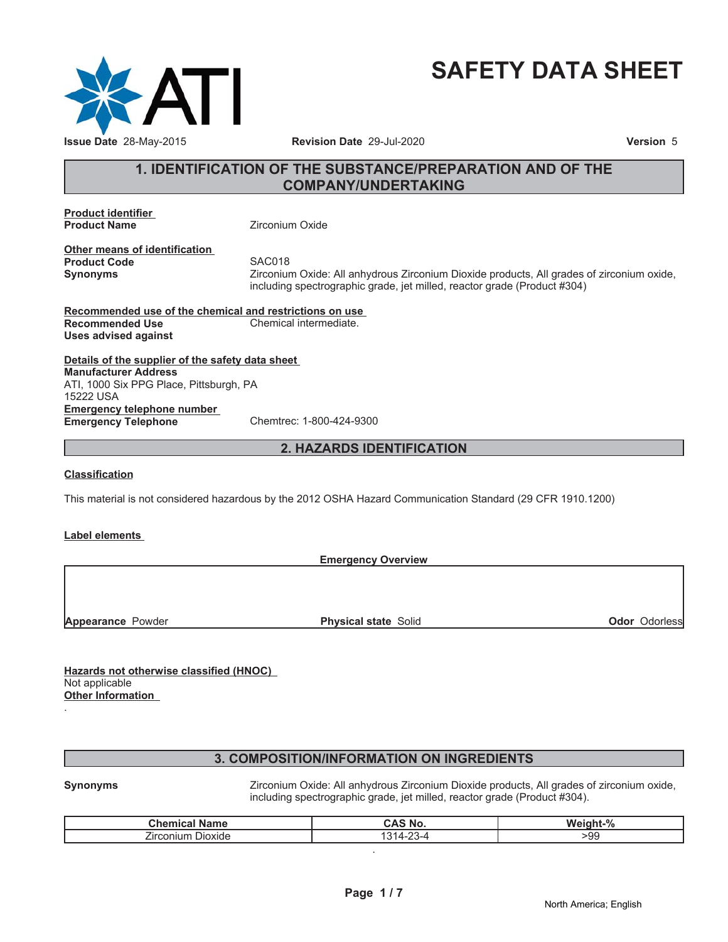

# **SAFETY DATA SHEET**

### **1. IDENTIFICATION OF THE SUBSTANCE/PREPARATION AND OF THE COMPANY/UNDERTAKING**

**Product identifier Product Name Zirconium Oxide** 

**Other means of identification Product Code** SAC018<br> **Synonyms** Zirconiur

**Synonyms** Zirconium Oxide: All anhydrous Zirconium Dioxide products, All grades of zirconium oxide, including spectrographic grade, jet milled, reactor grade (Product #304)

**Recommended use of the chemical and restrictions on use Recommended Use Chemical intermediate. Uses advised against**

**Details of the supplier of the safety data sheet Emergency telephone number Emergency Telephone** Chemtrec: 1-800-424-9300 **Manufacturer Address** ATI, 1000 Six PPG Place, Pittsburgh, PA 15222 USA

### **2. HAZARDS IDENTIFICATION**

#### **Classification**

This material is not considered hazardous by the 2012 OSHA Hazard Communication Standard (29 CFR 1910.1200)

#### **Label elements**

| <b>Odor Odorless</b>        |
|-----------------------------|
| <b>Physical state Solid</b> |

**Hazards not otherwise classified (HNOC)** Not applicable **Other Information** .

### **3. COMPOSITION/INFORMATION ON INGREDIENTS**

**Synonyms** Zirconium Oxide: All anhydrous Zirconium Dioxide products, All grades of zirconium oxide, including spectrographic grade, jet milled, reactor grade (Product #304).

| .<br>$^{\circ}$ hamical $\sim$<br>Name | ີ AS No. | $\frac{1}{2}$<br>WО<br>7٥ |
|----------------------------------------|----------|---------------------------|
| --<br>÷.<br>Jioxide<br>'ırconiun       | $\sim$   | -99                       |
|                                        |          |                           |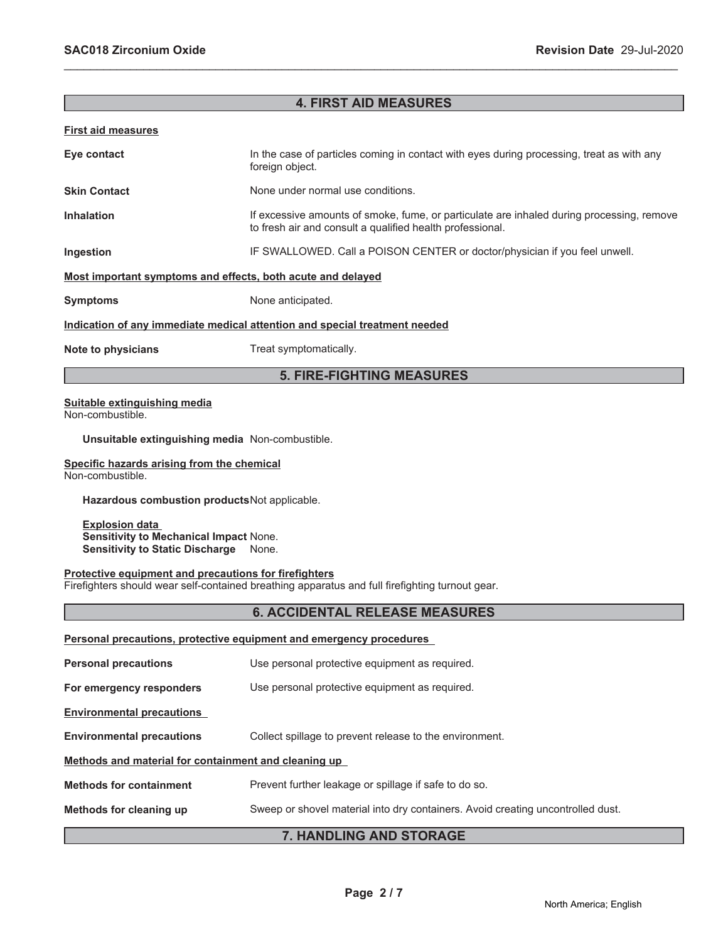### **4. FIRST AID MEASURES**

\_\_\_\_\_\_\_\_\_\_\_\_\_\_\_\_\_\_\_\_\_\_\_\_\_\_\_\_\_\_\_\_\_\_\_\_\_\_\_\_\_\_\_\_\_\_\_\_\_\_\_\_\_\_\_\_\_\_\_\_\_\_\_\_\_\_\_\_\_\_\_\_\_\_\_\_\_\_\_\_\_\_\_\_\_\_\_\_\_\_\_\_\_

#### **First aid measures**

| Eye contact                                                                | In the case of particles coming in contact with eyes during processing, treat as with any<br>foreign object.                                           |  |
|----------------------------------------------------------------------------|--------------------------------------------------------------------------------------------------------------------------------------------------------|--|
| <b>Skin Contact</b>                                                        | None under normal use conditions.                                                                                                                      |  |
| <b>Inhalation</b>                                                          | If excessive amounts of smoke, fume, or particulate are inhaled during processing, remove<br>to fresh air and consult a qualified health professional. |  |
| Ingestion                                                                  | IF SWALLOWED. Call a POISON CENTER or doctor/physician if you feel unwell.                                                                             |  |
| Most important symptoms and effects, both acute and delayed                |                                                                                                                                                        |  |
| <b>Symptoms</b>                                                            | None anticipated.                                                                                                                                      |  |
| Indication of any immediate medical attention and special treatment needed |                                                                                                                                                        |  |
| Note to physicians                                                         | Treat symptomatically.                                                                                                                                 |  |

### **5. FIRE-FIGHTING MEASURES**

#### **Suitable extinguishing media** Non-combustible.

**Unsuitable extinguishing media** Non-combustible.

#### **Specific hazards arising from the chemical** Non-combustible.

**Hazardous combustion products**Not applicable.

**Explosion data Sensitivity to Mechanical Impact** None. **Sensitivity to Static Discharge** None.

#### **Protective equipment and precautions for firefighters**

Firefighters should wear self-contained breathing apparatus and full firefighting turnout gear.

#### **6. ACCIDENTAL RELEASE MEASURES**

| Personal precautions, protective equipment and emergency procedures |                                                                                 |  |  |
|---------------------------------------------------------------------|---------------------------------------------------------------------------------|--|--|
| <b>Personal precautions</b>                                         | Use personal protective equipment as required.                                  |  |  |
| For emergency responders                                            | Use personal protective equipment as required.                                  |  |  |
| <b>Environmental precautions</b>                                    |                                                                                 |  |  |
| <b>Environmental precautions</b>                                    | Collect spillage to prevent release to the environment.                         |  |  |
| Methods and material for containment and cleaning up                |                                                                                 |  |  |
| <b>Methods for containment</b>                                      | Prevent further leakage or spillage if safe to do so.                           |  |  |
| Methods for cleaning up                                             | Sweep or shovel material into dry containers. Avoid creating uncontrolled dust. |  |  |
| 7. HANDLING AND STORAGE                                             |                                                                                 |  |  |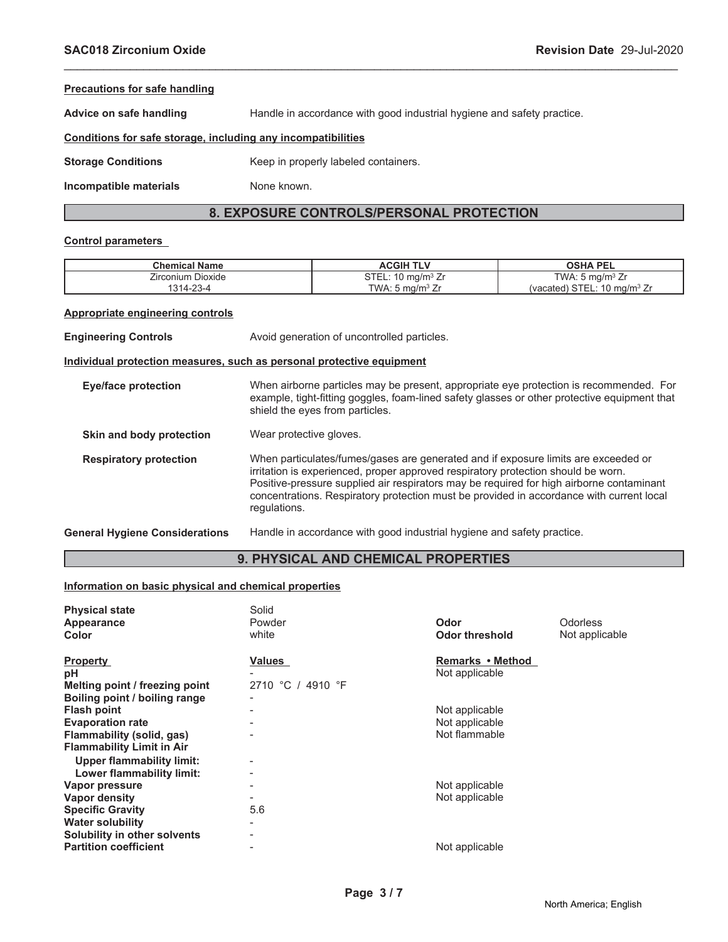| <b>Precautions for safe handling</b>                         |                                                                        |  |  |
|--------------------------------------------------------------|------------------------------------------------------------------------|--|--|
| Advice on safe handling                                      | Handle in accordance with good industrial hygiene and safety practice. |  |  |
| Conditions for safe storage, including any incompatibilities |                                                                        |  |  |
| <b>Storage Conditions</b>                                    | Keep in properly labeled containers.                                   |  |  |
| Incompatible materials                                       | None known.                                                            |  |  |

\_\_\_\_\_\_\_\_\_\_\_\_\_\_\_\_\_\_\_\_\_\_\_\_\_\_\_\_\_\_\_\_\_\_\_\_\_\_\_\_\_\_\_\_\_\_\_\_\_\_\_\_\_\_\_\_\_\_\_\_\_\_\_\_\_\_\_\_\_\_\_\_\_\_\_\_\_\_\_\_\_\_\_\_\_\_\_\_\_\_\_\_\_

### **8. EXPOSURE CONTROLS/PERSONAL PROTECTION**

#### **Control parameters**

| <b>Chemical Name</b> | <b>ACGIH</b><br><b>TLV</b>   | <b>OSHA PEL</b>                          |
|----------------------|------------------------------|------------------------------------------|
| Zirconium Dioxide    | STEL: $10 \text{ mg/m}^3$ Zr | TWA: $5 \text{ mg/m}^3$ Zr               |
| $\cap$<br>1314-23-4  | TWA: 5 mg/m <sup>3</sup> Zr  | (vacated) STEI<br>L: 10 ma/m $3$ Zr<br>U |

#### **Appropriate engineering controls**

**Engineering Controls Avoid generation of uncontrolled particles. Individual protection measures, such as personal protective equipment Eye/face protection** When airborne particles may be present, appropriate eye protection is recommended. For example, tight-fitting goggles, foam-lined safety glasses or other protective equipment that shield the eyes from particles. **Skin and body protection** Wear protective gloves. **Respiratory protection** When particulates/fumes/gases are generated and if exposure limits are exceeded or irritation is experienced, proper approved respiratory protection should be worn. Positive-pressure supplied air respirators may be required for high airborne contaminant concentrations. Respiratory protection must be provided in accordance with current local regulations. **General Hygiene Considerations** Handle in accordance with good industrial hygiene and safety practice.

#### **9. PHYSICAL AND CHEMICAL PROPERTIES**

#### **Information on basic physical and chemical properties**

| Powder<br>Odorless<br>Odor<br>Appearance<br>white<br><b>Odor threshold</b><br>Not applicable<br>Color<br>Remarks • Method<br>Values<br>Not applicable<br>рH<br>2710 °C / 4910 °F<br>Not applicable<br>Not applicable<br><b>Evaporation rate</b><br>Not flammable<br><b>Upper flammability limit:</b><br>Lower flammability limit:<br>Not applicable<br>Vapor pressure<br>-<br>Not applicable<br>Vapor density<br>5.6<br><b>Partition coefficient</b><br>Not applicable | <b>Physical state</b>            | Solid |  |
|------------------------------------------------------------------------------------------------------------------------------------------------------------------------------------------------------------------------------------------------------------------------------------------------------------------------------------------------------------------------------------------------------------------------------------------------------------------------|----------------------------------|-------|--|
|                                                                                                                                                                                                                                                                                                                                                                                                                                                                        |                                  |       |  |
|                                                                                                                                                                                                                                                                                                                                                                                                                                                                        |                                  |       |  |
|                                                                                                                                                                                                                                                                                                                                                                                                                                                                        | <b>Property</b>                  |       |  |
|                                                                                                                                                                                                                                                                                                                                                                                                                                                                        |                                  |       |  |
|                                                                                                                                                                                                                                                                                                                                                                                                                                                                        | Melting point / freezing point   |       |  |
|                                                                                                                                                                                                                                                                                                                                                                                                                                                                        | Boiling point / boiling range    |       |  |
|                                                                                                                                                                                                                                                                                                                                                                                                                                                                        | <b>Flash point</b>               |       |  |
|                                                                                                                                                                                                                                                                                                                                                                                                                                                                        |                                  |       |  |
|                                                                                                                                                                                                                                                                                                                                                                                                                                                                        | Flammability (solid, gas)        |       |  |
|                                                                                                                                                                                                                                                                                                                                                                                                                                                                        | <b>Flammability Limit in Air</b> |       |  |
|                                                                                                                                                                                                                                                                                                                                                                                                                                                                        |                                  |       |  |
|                                                                                                                                                                                                                                                                                                                                                                                                                                                                        |                                  |       |  |
|                                                                                                                                                                                                                                                                                                                                                                                                                                                                        |                                  |       |  |
|                                                                                                                                                                                                                                                                                                                                                                                                                                                                        |                                  |       |  |
|                                                                                                                                                                                                                                                                                                                                                                                                                                                                        | <b>Specific Gravity</b>          |       |  |
|                                                                                                                                                                                                                                                                                                                                                                                                                                                                        | <b>Water solubility</b>          |       |  |
|                                                                                                                                                                                                                                                                                                                                                                                                                                                                        | Solubility in other solvents     |       |  |
|                                                                                                                                                                                                                                                                                                                                                                                                                                                                        |                                  |       |  |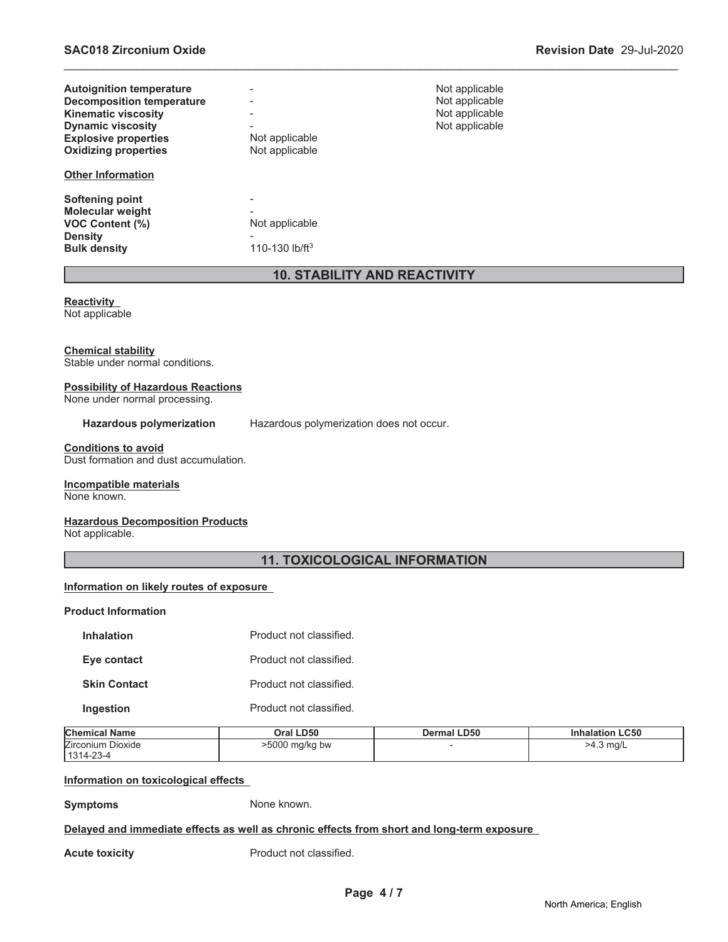| <b>Autoignition temperature</b>  |                            | Not applicable |
|----------------------------------|----------------------------|----------------|
| <b>Decomposition temperature</b> |                            | Not applicable |
| <b>Kinematic viscosity</b>       |                            | Not applicable |
| <b>Dynamic viscosity</b>         |                            | Not applicable |
| <b>Explosive properties</b>      | Not applicable             |                |
| <b>Oxidizing properties</b>      | Not applicable             |                |
| <b>Other Information</b>         |                            |                |
| Softening point                  |                            |                |
| <b>Molecular weight</b>          |                            |                |
| <b>VOC Content (%)</b>           | Not applicable             |                |
| <b>Density</b>                   |                            |                |
| <b>Bulk density</b>              | 110-130 lb/ft <sup>3</sup> |                |

#### **10. STABILITY AND REACTIVITY**

\_\_\_\_\_\_\_\_\_\_\_\_\_\_\_\_\_\_\_\_\_\_\_\_\_\_\_\_\_\_\_\_\_\_\_\_\_\_\_\_\_\_\_\_\_\_\_\_\_\_\_\_\_\_\_\_\_\_\_\_\_\_\_\_\_\_\_\_\_\_\_\_\_\_\_\_\_\_\_\_\_\_\_\_\_\_\_\_\_\_\_\_\_

## **Reactivity**

Not applicable

#### **Chemical stability**

Stable under normal conditions.

### **Possibility of Hazardous Reactions**

None under normal processing.

Hazardous polymerization Hazardous polymerization does not occur.

**Conditions to avoid** Dust formation and dust accumulation.

### **Incompatible materials**

None known.

#### **Hazardous Decomposition Products**

Not applicable.

### **11. TOXICOLOGICAL INFORMATION**

#### **Information on likely routes of exposure**

#### **Product Information**

| <b>Inhalation</b>   | Product not classified. |
|---------------------|-------------------------|
| Eye contact         | Product not classified. |
| <b>Skin Contact</b> | Product not classified. |
| Ingestion           | Product not classified. |

| <b>Chemical Name</b> | Oral LD50      | <b>Dermal LD50</b> | <b>Inhalation LC50</b> |
|----------------------|----------------|--------------------|------------------------|
| Zirconium Dioxide    | >5000 mg/kg bw |                    | >4.3 mg/L              |
| $1314 - 23 - 4$      |                |                    |                        |

#### **Information on toxicological effects**

**Symptoms** None known.

#### **Delayed and immediate effects as well as chronic effects from short and long-term exposure**

**Acute toxicity Acute toxicity Product not classified.**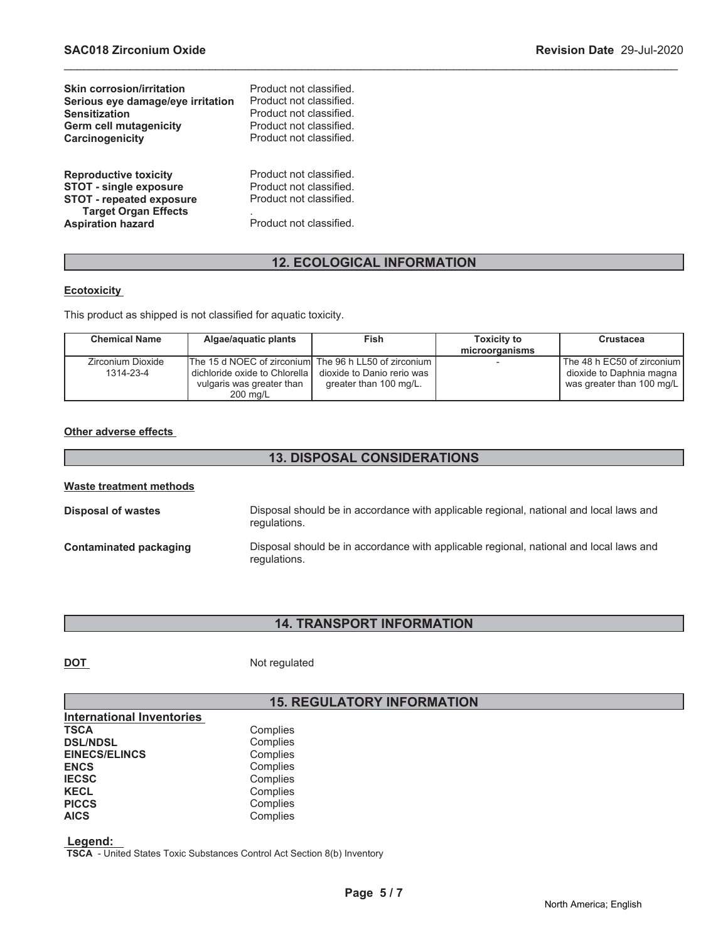| <b>Skin corrosion/irritation</b>                                                                                                                            | Product not classified.                                                                                  |
|-------------------------------------------------------------------------------------------------------------------------------------------------------------|----------------------------------------------------------------------------------------------------------|
| Serious eye damage/eye irritation                                                                                                                           | Product not classified.                                                                                  |
| <b>Sensitization</b>                                                                                                                                        | Product not classified.                                                                                  |
| <b>Germ cell mutagenicity</b>                                                                                                                               | Product not classified.                                                                                  |
| Carcinogenicity                                                                                                                                             | Product not classified.                                                                                  |
| <b>Reproductive toxicity</b><br><b>STOT - single exposure</b><br><b>STOT - repeated exposure</b><br><b>Target Organ Effects</b><br><b>Aspiration hazard</b> | Product not classified.<br>Product not classified.<br>Product not classified.<br>Product not classified. |

### **12. ECOLOGICAL INFORMATION**

\_\_\_\_\_\_\_\_\_\_\_\_\_\_\_\_\_\_\_\_\_\_\_\_\_\_\_\_\_\_\_\_\_\_\_\_\_\_\_\_\_\_\_\_\_\_\_\_\_\_\_\_\_\_\_\_\_\_\_\_\_\_\_\_\_\_\_\_\_\_\_\_\_\_\_\_\_\_\_\_\_\_\_\_\_\_\_\_\_\_\_\_\_

#### **Ecotoxicity**

This product as shipped is not classified for aquatic toxicity.

| <b>Chemical Name</b> | Algae/aquatic plants                                   | Fish                       | <b>Toxicity to</b> | <b>Crustacea</b>           |
|----------------------|--------------------------------------------------------|----------------------------|--------------------|----------------------------|
|                      |                                                        |                            | microorganisms     |                            |
| Zirconium Dioxide    | The 15 d NOEC of zirconiuml The 96 h LL50 of zirconium |                            |                    | The 48 h EC50 of zirconium |
| 1314-23-4            | dichloride oxide to Chlorella                          | dioxide to Danio rerio was |                    | dioxide to Daphnia magna   |
|                      | vulgaris was greater than                              | greater than 100 mg/L.     |                    | was greater than 100 mg/L  |
|                      | $200 \text{ ma/L}$                                     |                            |                    |                            |

#### **Other adverse effects**

### **13. DISPOSAL CONSIDERATIONS**

| <b>Waste treatment methods</b> |                                                                                                        |  |  |
|--------------------------------|--------------------------------------------------------------------------------------------------------|--|--|
| <b>Disposal of wastes</b>      | Disposal should be in accordance with applicable regional, national and local laws and<br>regulations. |  |  |
| Contaminated packaging         | Disposal should be in accordance with applicable regional, national and local laws and<br>regulations. |  |  |

### **14. TRANSPORT INFORMATION**

**DOT** Not regulated

### **15. REGULATORY INFORMATION**

| <b>International Inventories</b> |          |
|----------------------------------|----------|
| TSCA                             | Complies |
| <b>DSL/NDSL</b>                  | Complies |
| <b>EINECS/ELINCS</b>             | Complies |
| ENCS                             | Complies |
| <b>IECSC</b>                     | Complies |
| KECL                             | Complies |
| <b>PICCS</b>                     | Complies |
| <b>AICS</b>                      | Complies |
|                                  |          |

 **Legend:** 

 **TSCA** - United States Toxic Substances Control Act Section 8(b) Inventory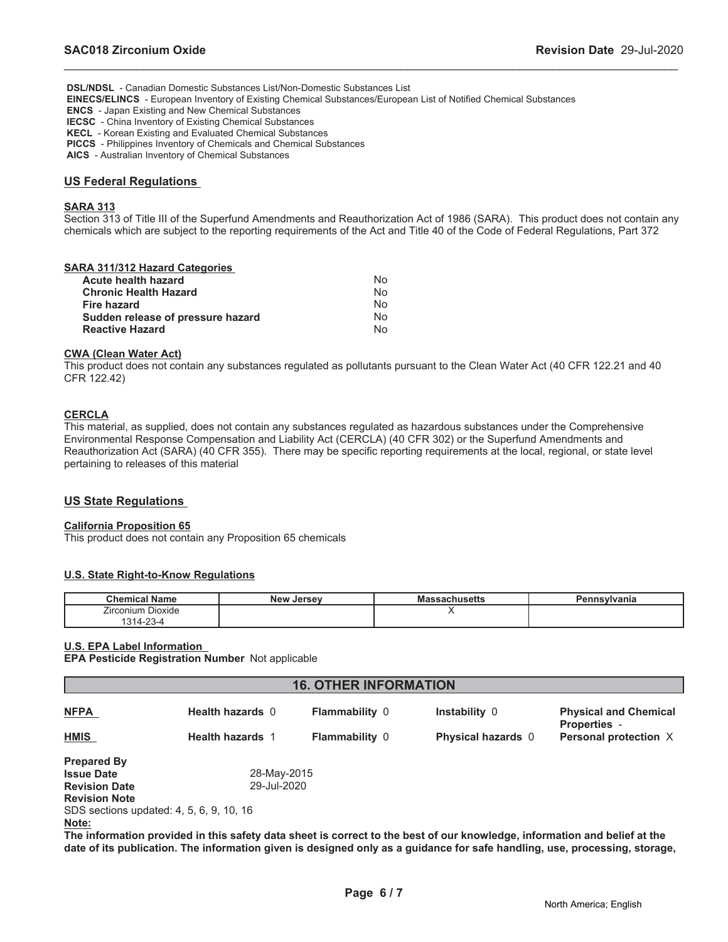**DSL/NDSL** - Canadian Domestic Substances List/Non-Domestic Substances List

 **EINECS/ELINCS** - European Inventory of Existing Chemical Substances/European List of Notified Chemical Substances

 **ENCS** - Japan Existing and New Chemical Substances

 **IECSC** - China Inventory of Existing Chemical Substances

 **KECL** - Korean Existing and Evaluated Chemical Substances

 **PICCS** - Philippines Inventory of Chemicals and Chemical Substances

 **AICS** - Australian Inventory of Chemical Substances

#### **US Federal Regulations**

#### **SARA 313**

Section 313 of Title III of the Superfund Amendments and Reauthorization Act of 1986 (SARA). This product does not contain any chemicals which are subject to the reporting requirements of the Act and Title 40 of the Code of Federal Regulations, Part 372

\_\_\_\_\_\_\_\_\_\_\_\_\_\_\_\_\_\_\_\_\_\_\_\_\_\_\_\_\_\_\_\_\_\_\_\_\_\_\_\_\_\_\_\_\_\_\_\_\_\_\_\_\_\_\_\_\_\_\_\_\_\_\_\_\_\_\_\_\_\_\_\_\_\_\_\_\_\_\_\_\_\_\_\_\_\_\_\_\_\_\_\_\_

|   | <b>SARA 311/312 Hazard Categories</b> |  |
|---|---------------------------------------|--|
| . |                                       |  |

| No  |
|-----|
| N∩  |
| No. |
| N٥  |
| N٥  |
|     |

#### **CWA (Clean Water Act)**

This product does not contain any substances regulated as pollutants pursuant to the Clean Water Act (40 CFR 122.21 and 40 CFR 122.42)

#### **CERCLA**

This material, as supplied, does not contain any substances regulated as hazardous substances under the Comprehensive Environmental Response Compensation and Liability Act (CERCLA) (40 CFR 302) or the Superfund Amendments and Reauthorization Act (SARA) (40 CFR 355). There may be specific reporting requirements at the local, regional, or state level pertaining to releases of this material

#### **US State Regulations**

#### **California Proposition 65**

This product does not contain any Proposition 65 chemicals

#### **U.S. State Right-to-Know Regulations**

| <b>Chemical Name</b>                                       | <b>New Jersey</b> | ssachusetts<br>mas | Pennsylvania |
|------------------------------------------------------------|-------------------|--------------------|--------------|
| Dioxide<br>j<br><i>i</i> rconium<br>$\sim$<br>101<br>-23-4 |                   |                    |              |

#### **U.S. EPA Label Information**

**EPA Pesticide Registration Number** Not applicable

| <b>16. OTHER INFORMATION</b>             |                         |                       |                                                                                                                           |                                                     |  |
|------------------------------------------|-------------------------|-----------------------|---------------------------------------------------------------------------------------------------------------------------|-----------------------------------------------------|--|
| <b>NFPA</b>                              | <b>Health hazards 0</b> | <b>Flammability 0</b> | Instability 0                                                                                                             | <b>Physical and Chemical</b><br><b>Properties -</b> |  |
| <b>HMIS</b>                              | <b>Health hazards 1</b> | <b>Flammability 0</b> | Physical hazards 0                                                                                                        | Personal protection X                               |  |
| <b>Prepared By</b>                       |                         |                       |                                                                                                                           |                                                     |  |
| <b>Issue Date</b>                        | 28-May-2015             |                       |                                                                                                                           |                                                     |  |
| <b>Revision Date</b>                     | 29-Jul-2020             |                       |                                                                                                                           |                                                     |  |
| <b>Revision Note</b>                     |                         |                       |                                                                                                                           |                                                     |  |
| SDS sections updated: 4, 5, 6, 9, 10, 16 |                         |                       |                                                                                                                           |                                                     |  |
| Note:                                    |                         |                       | The information provided in this safety data sheet is correct to the best of our knowledge, information and belief at the |                                                     |  |

**The information provided in this safety data sheet is correct to the best of our knowledge, information and belief at the date of its publication. The information given is designed only as a guidance for safe handling, use, processing, storage,**